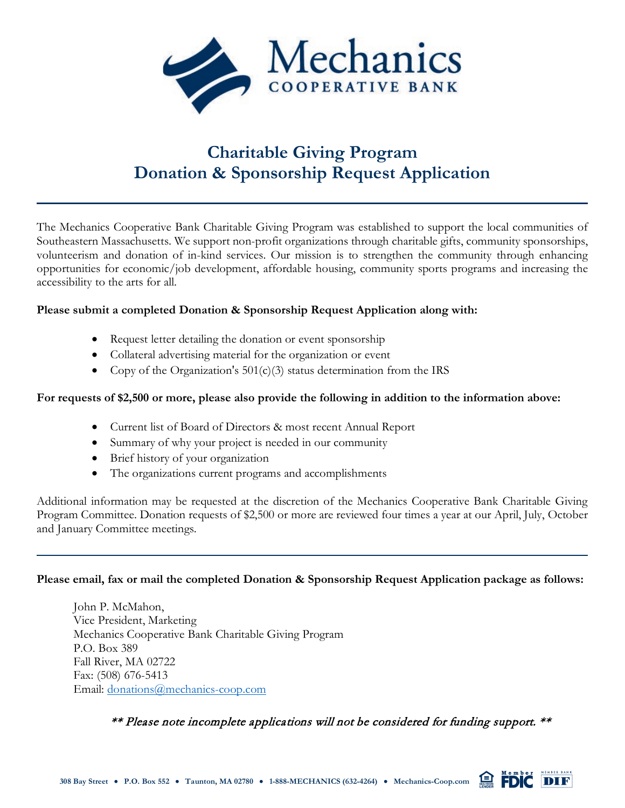

# **Charitable Giving Program Donation & Sponsorship Request Application**

The Mechanics Cooperative Bank Charitable Giving Program was established to support the local communities of Southeastern Massachusetts. We support non-profit organizations through charitable gifts, community sponsorships, volunteerism and donation of in-kind services. Our mission is to strengthen the community through enhancing opportunities for economic/job development, affordable housing, community sports programs and increasing the accessibility to the arts for all.

#### **Please submit a completed Donation & Sponsorship Request Application along with:**

- Request letter detailing the donation or event sponsorship
- Collateral advertising material for the organization or event
- Copy of the Organization's  $501(c)(3)$  status determination from the IRS

#### **For requests of \$2,500 or more, please also provide the following in addition to the information above:**

- Current list of Board of Directors & most recent Annual Report
- Summary of why your project is needed in our community
- Brief history of your organization
- The organizations current programs and accomplishments

Additional information may be requested at the discretion of the Mechanics Cooperative Bank Charitable Giving Program Committee. Donation requests of \$2,500 or more are reviewed four times a year at our April, July, October and January Committee meetings.

#### **Please email, fax or mail the completed Donation & Sponsorship Request Application package as follows:**

John P. McMahon, Vice President, Marketing Mechanics Cooperative Bank Charitable Giving Program P.O. Box 389 Fall River, MA 02722 Fax: (508) 676-5413 Email: [donations@mechanics-coop.com](mailto:donations@mechanics-coop.com)

\*\* Please note incomplete applications will not be considered for funding support. \*\*

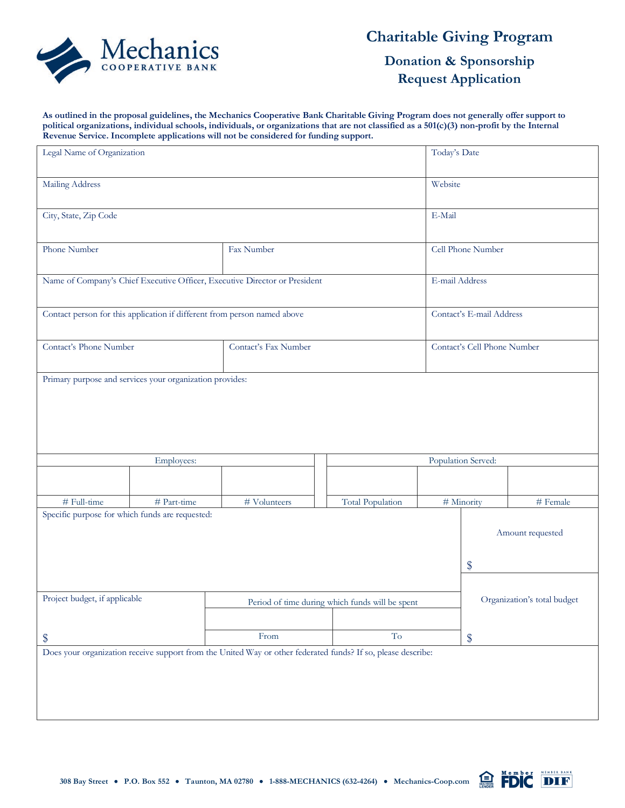

### **Charitable Giving Program**

**Donation & Sponsorship Request Application**

**As outlined in the proposal guidelines, the Mechanics Cooperative Bank Charitable Giving Program does not generally offer support to political organizations, individual schools, individuals, or organizations that are not classified as a 501(c)(3) non-profit by the Internal Revenue Service. Incomplete applications will not be considered for funding support.**

| Legal Name of Organization                                                                                   |             | Today's Date                                                                   |                         |                             |                          |                  |  |  |
|--------------------------------------------------------------------------------------------------------------|-------------|--------------------------------------------------------------------------------|-------------------------|-----------------------------|--------------------------|------------------|--|--|
| <b>Mailing Address</b>                                                                                       |             |                                                                                |                         |                             |                          | Website          |  |  |
| City, State, Zip Code                                                                                        |             |                                                                                |                         |                             | E-Mail                   |                  |  |  |
| Phone Number                                                                                                 |             | Fax Number                                                                     |                         |                             | Cell Phone Number        |                  |  |  |
| Name of Company's Chief Executive Officer, Executive Director or President                                   |             |                                                                                |                         |                             | E-mail Address           |                  |  |  |
| Contact person for this application if different from person named above                                     |             |                                                                                |                         |                             | Contact's E-mail Address |                  |  |  |
| Contact's Phone Number                                                                                       |             | Contact's Fax Number                                                           |                         | Contact's Cell Phone Number |                          |                  |  |  |
| Primary purpose and services your organization provides:                                                     |             |                                                                                |                         |                             |                          |                  |  |  |
| Employees:                                                                                                   |             |                                                                                |                         |                             | Population Served:       |                  |  |  |
|                                                                                                              |             |                                                                                |                         |                             |                          |                  |  |  |
| # Full-time                                                                                                  | # Part-time | # Volunteers                                                                   | <b>Total Population</b> |                             | # Minority               | # Female         |  |  |
| Specific purpose for which funds are requested:                                                              |             |                                                                                |                         |                             | \$                       | Amount requested |  |  |
| Project budget, if applicable                                                                                |             | Organization's total budget<br>Period of time during which funds will be spent |                         |                             |                          |                  |  |  |
| \$                                                                                                           |             | From                                                                           | $\operatorname{To}$     |                             | \$                       |                  |  |  |
| Does your organization receive support from the United Way or other federated funds? If so, please describe: |             |                                                                                |                         |                             |                          |                  |  |  |